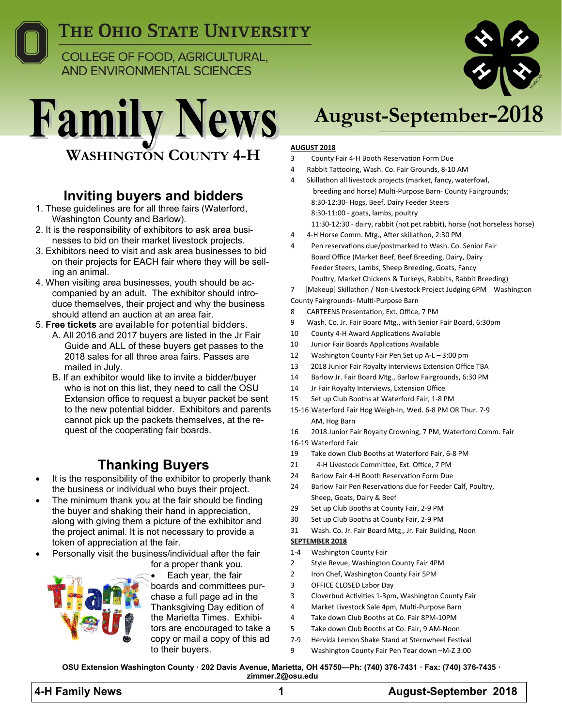

**COLLEGE OF FOOD, AGRICULTURAL, AND ENVIRONMENTAL SCIENCES** 



### **Inviting buyers and bidders**

- 1. These guidelines are for all three fairs (Waterford, Washington County and Barlow).
- 2. It is the responsibility of exhibitors to ask area businesses to bid on their market livestock projects.
- 3. Exhibitors need to visit and ask area businesses to bid on their projects for EACH fair where they will be selling an animal.
- 4. When visiting area businesses, youth should be accompanied by an adult. The exhibitor should introduce themselves, their project and why the business should attend an auction at an area fair.
- 5. **Free tickets** are available for potential bidders.
	- A. All 2016 and 2017 buyers are listed in the Jr Fair Guide and ALL of these buyers get passes to the 2018 sales for all three area fairs. Passes are mailed in July.
	- B. If an exhibitor would like to invite a bidder/buyer who is not on this list, they need to call the OSU Extension office to request a buyer packet be sent to the new potential bidder. Exhibitors and parents cannot pick up the packets themselves, at the request of the cooperating fair boards.

### **Thanking Buyers**

- It is the responsibility of the exhibitor to properly thank the business or individual who buys their project.
- The minimum thank you at the fair should be finding the buyer and shaking their hand in appreciation, along with giving them a picture of the exhibitor and the project animal. It is not necessary to provide a token of appreciation at the fair.
- Personally visit the business/individual after the fair for a proper thank you.



Each year, the fair

boards and committees purchase a full page ad in the Thanksgiving Day edition of the Marietta Times. Exhibitors are encouraged to take a copy or mail a copy of this ad to their buyers.

# **August-September-2018**

#### **AUGUST 2018**

- 3 County Fair 4-H Booth Reservation Form Due
- 4 Rabbit Tattooing, Wash. Co. Fair Grounds, 8-10 AM
- 4 Skillathon all livestock projects (market, fancy, waterfowl, breeding and horse) Multi-Purpose Barn- County Fairgrounds; 8:30‐12:30‐ Hogs, Beef, Dairy Feeder Steers 8:30‐11:00 ‐ goats, lambs, poultry 11:30‐12:30 ‐ dairy, rabbit (not pet rabbit), horse (not horseless horse)
- 4 4‐H Horse Comm. Mtg., AŌer skillathon, 2:30 PM
- 4 Pen reservations due/postmarked to Wash. Co. Senior Fair Board Office (Market Beef, Beef Breeding, Dairy, Dairy Feeder Steers, Lambs, Sheep Breeding, Goats, Fancy Poultry, Market Chickens & Turkeys, Rabbits, Rabbit Breeding)
- 7 [Makeup] Skillathon / Non‐Livestock Project Judging 6PM Washington

#### County Fairgrounds‐ MulƟ‐Purpose Barn

- 8 CARTEENS Presentation, Ext. Office, 7 PM
- 9 Wash. Co. Jr. Fair Board Mtg., with Senior Fair Board, 6:30pm
- 10 County 4-H Award Applications Available
- 10 Junior Fair Boards Applications Available
- 12 Washington County Fair Pen Set up A-L 3:00 pm
- 13 2018 Junior Fair Royalty interviews Extension Office TBA
- 14 Barlow Jr. Fair Board Mtg., Barlow Fairgrounds, 6:30 PM
- 14 Jr Fair Royalty Interviews, Extension Office
- 15 Set up Club Booths at Waterford Fair, 1‐8 PM
- 15‐16 Waterford Fair Hog Weigh‐In, Wed. 6‐8 PM OR Thur. 7‐9 AM, Hog Barn
- 16 2018 Junior Fair Royalty Crowning, 7 PM, Waterford Comm. Fair
- 16‐19 Waterford Fair
- 19 Take down Club Booths at Waterford Fair, 6‐8 PM
- 21 4-H Livestock Committee, Ext. Office, 7 PM
- 24 Barlow Fair 4-H Booth Reservation Form Due
- 24 Barlow Fair Pen Reservations due for Feeder Calf, Poultry, Sheep, Goats, Dairy & Beef
- 29 Set up Club Booths at County Fair, 2-9 PM
- 30 Set up Club Booths at County Fair, 2‐9 PM
- 31 Wash. Co. Jr. Fair Board Mtg., Jr. Fair Building, Noon

#### **SEPTEMBER 2018**

- 1‐4 Washington County Fair
- 2 Style Revue, Washington County Fair 4PM
- 2 Iron Chef, Washington County Fair 5PM
- 3 OFFICE CLOSED Labor Day
- 3 Cloverbud Activities 1-3pm, Washington County Fair
- 4 Market Livestock Sale 4pm, Multi-Purpose Barn
- 4 Take down Club Booths at Co. Fair 8PM‐10PM
- 5 Take down Club Booths at Co. Fair, 9 AM‐Noon
- 7-9 Hervida Lemon Shake Stand at Sternwheel Festival
- 9 Washington County Fair Pen Tear down -M-Z 3:00

**OSU Extension Washington County · 202 Davis Avenue, Marietta, OH 45750—Ph: (740) 376-7431 · Fax: (740) 376-7435 · zimmer.2@osu.edu** 

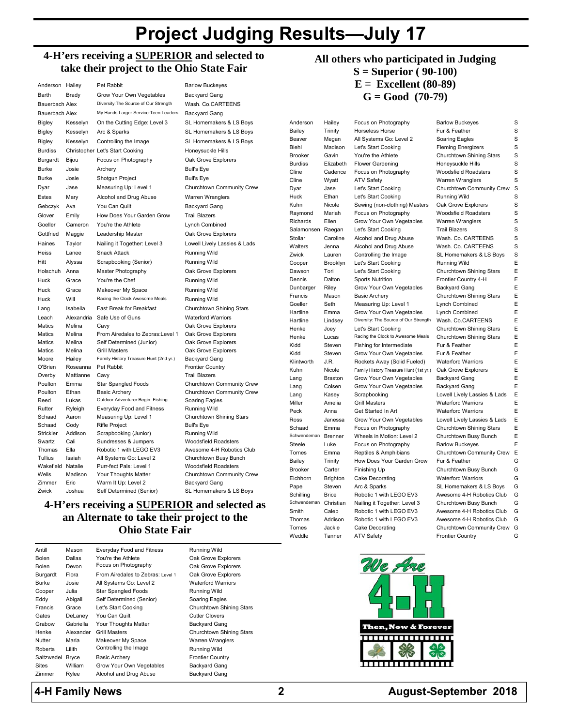## **Project Judging Results—July 17**

#### **4-H'ers receiving a SUPERIOR and selected to take their project to the Ohio State Fair**

| Anderson              | Hailey          | Pet Rabbit                                         |
|-----------------------|-----------------|----------------------------------------------------|
| Barth                 | Brady           | Grow Your Own Vegetables                           |
| <b>Bauerbach Alex</b> |                 | Diversity: The Source of Our Strength              |
| <b>Bauerbach Alex</b> |                 | My Hands Larger Service: Teen Leaders              |
| Bigley                | Kesselyn        | On the Cutting Edge: Level 3                       |
| Bigley                | Kesselyn        | Arc & Sparks                                       |
| <b>Bigley</b>         | Kesselyn        | Controlling the Image                              |
| <b>Burdiss</b>        |                 | Christopher Let's Start Cooking                    |
| Burgardt              | Bijou           | Focus on Photography                               |
| <b>Burke</b>          | Josie           | Archery                                            |
| <b>Burke</b>          | Josie           | Shotgun Project                                    |
| Dyar                  | Jase            | Measuring Up: Level 1                              |
| Estes                 | Mary            | Alcohol and Drug Abuse                             |
| Gebczyk               | Ava             | You Can Quilt                                      |
| Glover                | Emily           | How Does Your Garden Grow                          |
| Goeller               | Cameron         | You're the Athlete                                 |
| Gottfried             | Maggie          | Leadership Master                                  |
| Haines                | Taylor          | Nailing it Together: Level 3                       |
| Heiss                 | Lanee           | <b>Snack Attack</b>                                |
| Hitt                  | Alyssa          | Scrapbooking (Senior)                              |
| Holschuh              | Anna            | Master Photography                                 |
| Huck                  | Grace           | You're the Chef                                    |
| Huck                  | Grace           | Makeover My Space                                  |
| Huck                  | Will            | Racing the Clock Awesome Meals                     |
| Lang                  | Isabella        | <b>Fast Break for Breakfast</b>                    |
| Leach                 | Alexandria      | Safe Use of Guns                                   |
| <b>Matics</b>         | Melina          | Cavy                                               |
| <b>Matics</b>         | Melina          | From Airedales to Zebras: Level 1                  |
| <b>Matics</b>         | Melina          | Self Determined (Junior)                           |
| <b>Matics</b>         | Melina          | <b>Grill Masters</b>                               |
| Moore                 | Hailey          | Family History Treasure Hunt (2nd yr.)             |
| O'Brien               | Roseanna        | Pet Rabbit                                         |
| Overby                | Mattianne       | Cavy                                               |
| Poulton<br>Poulton    | Emma<br>Ethan   | <b>Star Spangled Foods</b><br><b>Basic Archery</b> |
| Reed                  | Lukas           | Outdoor Adventurer: Begin. Fishing                 |
| Rutter                | Ryleigh         | Everyday Food and Fitness                          |
| Schaad                | Aaron           | Measuring Up: Level 1                              |
| Schaad                | Cody            | <b>Rifle Project</b>                               |
| Strickler             | Addison         | Scrapbooking (Junior)                              |
| Swartz                | Cali            | Sundresses & Jumpers                               |
| Thomas                | Ella            | Robotic 1 with LEGO EV3                            |
| Tullius               | Isaiah          | All Systems Go: Level 2                            |
| Wakefield Natalie     |                 | Purr-fect Pals: Level 1                            |
| Wells<br>Zimmer       | Madison<br>Eric | Your Thoughts Matter<br>Warm It Up: Level 2        |
| Zwick                 | Joshua          | Self Determined (Senior)                           |
|                       |                 |                                                    |

**Barlow Buckeyes** Backyard Gang Wash. Co.CARTEENS Backyard Gang SL Homemakers & LS Boys SL Homemakers & LS Boys SL Homemakers & LS Boys Honeysuckle Hills Oak Grove Explorers Bull's Eye Bull's Eye Churchtown Community Crew Warren Wranglers Backyard Gang **Trail Blazers** Lynch Combined Oak Grove Explorers Lowell Lively Lassies & Lads Running Wild **Running Wild** Oak Grove Explorers **Running Wild** Running Wild **Running Wild** Churchtown Shining Stars Waterford Warriors Oak Grove Explorers Oak Grove Explorers Oak Grove Explorers Oak Grove Explorers Backvard Gang Frontier Country **Trail Blazers** Churchtown Community Crew Churchtown Community Crew Soaring Eagles Running Wild Churchtown Shining Stars Bull's Eye Running Wild Woodsfield Roadsters Awesome 4-H Robotics Club Churchtown Busy Bunch Woodsfield Roadsters Churchtown Community Crew

| Anderson         | Hailey         |
|------------------|----------------|
| <b>Bailey</b>    | Trinity        |
| <b>Beaver</b>    | Megan          |
| <b>Biehl</b>     | Madisor        |
| <b>Brooker</b>   | Gavin          |
| <b>Burdiss</b>   | Elizabet       |
| Cline            | Cadenc         |
| Cline            | Wyatt          |
| <b>Dyar</b>      | Jase           |
| <b>Huck</b>      | Ethan          |
| <b>Kuhn</b>      | Nicole         |
| Raymond          | Mariah         |
| Richards         | Ellen          |
| Salamonsen       | Raegan         |
| Stollar          | Caroline       |
| <b>Nalters</b>   | Jenna          |
|                  |                |
| Zwick            | Lauren         |
| Cooper           | Brooklyr       |
| <b>Dawson</b>    | Tori           |
| <b>Dennis</b>    | Dalton         |
| <b>Dunbarger</b> | Riley          |
| Francis          | Mason          |
| <b>Goeller</b>   | Seth           |
| Hartline         | Emma           |
| <b>Hartline</b>  | Lindsey        |
| Henke            | Joey           |
| <b>Henke</b>     | Lucas          |
| <b>Kidd</b>      | Steven         |
| <b>Kidd</b>      | Steven         |
| Klintworth       | J.R.           |
| <b>Kuhn</b>      | Nicole         |
| _ang             | <b>Braxton</b> |
| ang              | Colsen         |
| _ang             | Kasey          |
| Miller           | Amelia         |
| Peck             | Anna           |
| Ross             | Janessa        |
| Schaad           | Emma           |
| Schwendeman      | <b>Brenner</b> |
| Steele           | Luke           |
| Tornes           | Emma           |
| <b>Bailey</b>    | Trinity        |
|                  | Carter         |
| <b>Brooker</b>   |                |
| Eichhorn         | Brighton       |
| Pape             | Steven         |
| Schilling        | <b>Brice</b>   |
| Schwendeman      | Christiar      |
| <b>Smith</b>     | Caleb          |
| Thomas           | Addison        |
| <b>Tornes</b>    | Jackie         |

## **All others who participated in Judging**

**S = Superior ( 90-100) E = Excellent (80-89)** 

 $G = Good$  (70-79)

Focus on Photography Barlow Buckeyes S Horseless Horse **Fur & Feather** S All Systems Go: Level 2 Soaring Eagles Soaring S Let's Start Cooking Fleming Energizers S You're the Athlete Churchtown Shining Stars S h Flower Gardening Honeysuckle Hills S e Focus on Photography Woodsfield Roadsters S ATV Safety **Warren Wranglers** S Let's Start Cooking Churchtown Community Crew S Let's Start Cooking **Running Wild** S Sewing (non-clothing) Masters Oak Grove Explorers S Focus on Photography Woodsfield Roadsters S Grow Your Own Vegetables Warren Wranglers S Let's Start Cooking Trail Blazers S Alcohol and Drug Abuse Wash. Co. CARTEENS S Alcohol and Drug Abuse Wash. Co. CARTEENS S Controlling the Image SL Homemakers & LS Boys S n Let's Start Cooking **Example 20 Running Wild** E Let's Start Cooking Churchtown Shining Stars E Sports Nutrition Frontier Country 4-H E Grow Your Own Vegetables Backyard Gang E Basic Archery Churchtown Shining Stars E Measuring Up: Level 1 Lynch Combined E Grow Your Own Vegetables Lynch Combined E Diversity: The Source of Our Strength Wash. Co.CARTEENS E Let's Start Cooking Churchtown Shining Stars E Racing the Clock to Awesome Meals Churchtown Shining Stars E Fishing for Intermediate Fur & Feather E Grow Your Own Vegetables Fur & Feather E Rockets Away (Solid Fueled) Waterford Warriors E Family History Treasure Hunt (1st yr.) Oak Grove Explorers E Grow Your Own Vegetables Backyard Gang E Grow Your Own Vegetables Backyard Gang E Scrapbooking Lowell Lively Lassies & Lads E Grill Masters **Exercise Waterford Warriors** E Get Started In Art Waterford Warriors E Grow Your Own Vegetables Lowell Lively Lassies & Lads E Focus on Photography Churchtown Shining Stars E Wheels in Motion: Level 2 Churchtown Busy Bunch E Focus on Photography Barlow Buckeyes E Reptiles & Amphibians Churchtown Community Crew E How Does Your Garden Grow Fur & Feather G Brooker Carter Finishing Up Churchtown Busy Bunch G Cake Decorating **Cake Decorating Cake Decoration** Waterford Warriors G Arc & Sparks SL Homemakers & LS Boys G Robotic 1 with LEGO EV3 Awesome 4-H Robotics Club G Nailing it Together: Level 3 Churchtown Busy Bunch G Robotic 1 with LEGO EV3 Awesome 4-H Robotics Club G Robotic 1 with LEGO EV3 Awesome 4-H Robotics Club G Cake Decorating Churchtown Community Crew G Weddle Tanner ATV Safety **Frontier Country** G



#### **4-H Family News 2 August-September 2018**

**4-H'ers receiving a SUPERIOR and selected as an Alternate to take their project to the Ohio State Fair**  Backyard Gang SL Homemakers & LS Boys

| Antill     | Mason     | Everyday Food and Fitness         |
|------------|-----------|-----------------------------------|
| Bolen      | Dallas    | You're the Athlete                |
| Bolen      | Devon     | Focus on Photography              |
| Burgardt   | Flora     | From Airedales to Zebras: Level 1 |
| Burke      | Josie     | All Systems Go: Level 2           |
| Cooper     | Julia     | <b>Star Spangled Foods</b>        |
| Eddy       | Abigail   | Self Determined (Senior)          |
| Francis    | Grace     | Let's Start Cooking               |
| Gates      | DeLaney   | You Can Quilt                     |
| Grabow     | Gabriella | Your Thoughts Matter              |
| Henke      | Alexander | <b>Grill Masters</b>              |
| Nutter     | Maria     | Makeover My Space                 |
| Roberts    | Lilith    | Controlling the Image             |
| Saltzwedel | Bryce     | Basic Archery                     |
| Sites      | William   | Grow Your Own Vegetables          |
| Zimmer     | Rylee     | Alcohol and Drug Abuse            |
|            |           |                                   |

Oak Grove Explorers Oak Grove Explorers Oak Grove Explorers Waterford Warriors Running Wild Soaring Eagles Churchtown Shining Stars **Cutler Clovers** Backyard Gand Churchtown Shining Stars Warren Wranglers Running Wild Frontier Country Backyard Gang Backyard Gang

**Running Wild**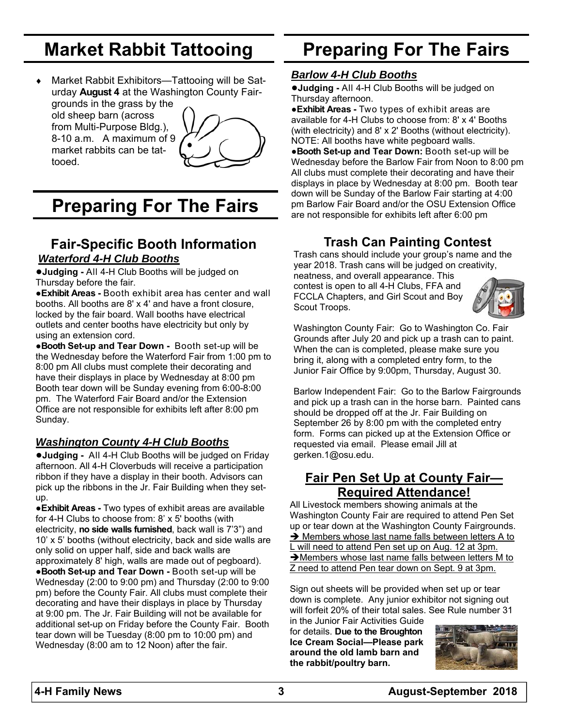## **Market Rabbit Tattooing**

 Market Rabbit Exhibitors—Tattooing will be Saturday **August 4** at the Washington County Fairgrounds in the grass by the old sheep barn (across from Multi-Purpose Bldg.), 8-10 a.m. A maximum of 9 market rabbits can be tattooed.



## **Preparing For The Fairs**

### **Fair-Specific Booth Information**  *Waterford 4-H Club Booths*

**●Judging -** All 4-H Club Booths will be judged on Thursday before the fair.

●**Exhibit Areas -** Booth exhibit area has center and wall booths. All booths are 8' x 4' and have a front closure, locked by the fair board. Wall booths have electrical outlets and center booths have electricity but only by using an extension cord.

●**Booth Set-up and Tear Down -** Booth set-up will be the Wednesday before the Waterford Fair from 1:00 pm to 8:00 pm All clubs must complete their decorating and have their displays in place by Wednesday at 8:00 pm Booth tear down will be Sunday evening from 6:00-8:00 pm. The Waterford Fair Board and/or the Extension Office are not responsible for exhibits left after 8:00 pm Sunday.

#### *Washington County 4-H Club Booths*

**●Judging -** All 4-H Club Booths will be judged on Friday afternoon. All 4-H Cloverbuds will receive a participation ribbon if they have a display in their booth. Advisors can pick up the ribbons in the Jr. Fair Building when they setup.

●**Exhibit Areas -** Two types of exhibit areas are available for 4-H Clubs to choose from: 8' x 5' booths (with electricity, **no side walls furnished**, back wall is 7'3") and 10' x 5' booths (without electricity, back and side walls are only solid on upper half, side and back walls are approximately 8' high, walls are made out of pegboard). ●**Booth Set-up and Tear Down -** Booth set-up will be Wednesday (2:00 to 9:00 pm) and Thursday (2:00 to 9:00 pm) before the County Fair. All clubs must complete their decorating and have their displays in place by Thursday at 9:00 pm. The Jr. Fair Building will not be available for additional set-up on Friday before the County Fair. Booth tear down will be Tuesday (8:00 pm to 10:00 pm) and Wednesday (8:00 am to 12 Noon) after the fair.

## **Preparing For The Fairs**

#### *Barlow 4-H Club Booths*

**●Judging -** All 4-H Club Booths will be judged on Thursday afternoon.

●**Exhibit Areas -** Two types of exhibit areas are available for 4-H Clubs to choose from: 8' x 4' Booths (with electricity) and 8' x 2' Booths (without electricity). NOTE: All booths have white pegboard walls. ●**Booth Set-up and Tear Down:** Booth set-up will be Wednesday before the Barlow Fair from Noon to 8:00 pm All clubs must complete their decorating and have their displays in place by Wednesday at 8:00 pm. Booth tear down will be Sunday of the Barlow Fair starting at 4:00 pm Barlow Fair Board and/or the OSU Extension Office are not responsible for exhibits left after 6:00 pm

### **Trash Can Painting Contest**

Trash cans should include your group's name and the year 2018. Trash cans will be judged on creativity,

neatness, and overall appearance. This contest is open to all 4-H Clubs, FFA and FCCLA Chapters, and Girl Scout and Boy Scout Troops.



Washington County Fair: Go to Washington Co. Fair Grounds after July 20 and pick up a trash can to paint. When the can is completed, please make sure you bring it, along with a completed entry form, to the Junior Fair Office by 9:00pm, Thursday, August 30.

Barlow Independent Fair: Go to the Barlow Fairgrounds and pick up a trash can in the horse barn. Painted cans should be dropped off at the Jr. Fair Building on September 26 by 8:00 pm with the completed entry form. Forms can picked up at the Extension Office or requested via email. Please email Jill at gerken.1@osu.edu.

### **Fair Pen Set Up at County Fair— Required Attendance!**

All Livestock members showing animals at the Washington County Fair are required to attend Pen Set up or tear down at the Washington County Fairgrounds.  $\rightarrow$  Members whose last name falls between letters A to L will need to attend Pen set up on Aug. 12 at 3pm. → Members whose last name falls between letters M to Z need to attend Pen tear down on Sept. 9 at 3pm.

Sign out sheets will be provided when set up or tear down is complete. Any junior exhibitor not signing out will forfeit 20% of their total sales. See Rule number 31

in the Junior Fair Activities Guide for details. **Due to the Broughton Ice Cream Social—Please park around the old lamb barn and the rabbit/poultry barn.**

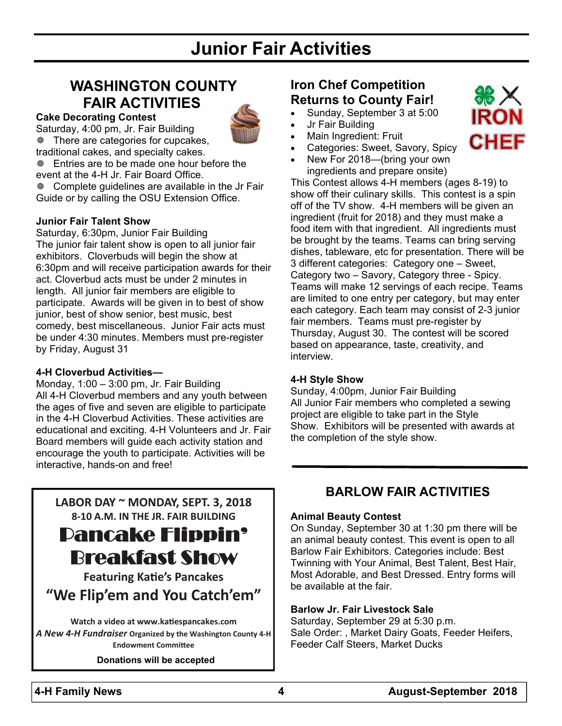## **Junior Fair Activities**

### **WASHINGTON COUNTY FAIR ACTIVITIES**



**Cake Decorating Contest**  Saturday, 4:00 pm, Jr. Fair Building There are categories for cupcakes, traditional cakes, and specialty cakes.

**Entries are to be made one hour before the** event at the 4-H Jr. Fair Board Office.

 Complete guidelines are available in the Jr Fair Guide or by calling the OSU Extension Office.

#### **Junior Fair Talent Show**

Saturday, 6:30pm, Junior Fair Building The junior fair talent show is open to all junior fair exhibitors. Cloverbuds will begin the show at 6:30pm and will receive participation awards for their act. Cloverbud acts must be under 2 minutes in length. All junior fair members are eligible to participate. Awards will be given in to best of show junior, best of show senior, best music, best comedy, best miscellaneous. Junior Fair acts must be under 4:30 minutes. Members must pre-register by Friday, August 31

#### **4-H Cloverbud Activities—**

Monday, 1:00 – 3:00 pm, Jr. Fair Building All 4-H Cloverbud members and any youth between the ages of five and seven are eligible to participate in the 4-H Cloverbud Activities. These activities are educational and exciting. 4-H Volunteers and Jr. Fair Board members will guide each activity station and encourage the youth to participate. Activities will be interactive, hands-on and free!

**LABOR DAY ~ MONDAY, SEPT. 3, 2018 8‐10 A.M. IN THE JR. FAIR BUILDING**

Pancake Flippin' Breakfast Show

**Featuring KaƟe's Pancakes "We Flip'em and You Catch'em"**

**Watch a video at www.kaƟespancakes.com**  *A New 4‐H Fundraiser* **Organized by the Washington County 4‐H Endowment CommiƩee**

#### **Donations will be accepted**

### **Iron Chef Competition Returns to County Fair!**

- Sunday, September 3 at 5:00
- Jr Fair Building
- Main Ingredient: Fruit
- Categories: Sweet, Savory, Spicy
- New For 2018—(bring your own

ingredients and prepare onsite) This Contest allows 4-H members (ages 8-19) to show off their culinary skills. This contest is a spin off of the TV show. 4-H members will be given an ingredient (fruit for 2018) and they must make a food item with that ingredient. All ingredients must be brought by the teams. Teams can bring serving dishes, tableware, etc for presentation. There will be 3 different categories: Category one – Sweet, Category two – Savory, Category three - Spicy. Teams will make 12 servings of each recipe. Teams are limited to one entry per category, but may enter each category. Each team may consist of 2-3 junior fair members. Teams must pre-register by Thursday, August 30. The contest will be scored based on appearance, taste, creativity, and interview.

#### **4-H Style Show**

Sunday, 4:00pm, Junior Fair Building All Junior Fair members who completed a sewing project are eligible to take part in the Style Show. Exhibitors will be presented with awards at the completion of the style show.

#### **BARLOW FAIR ACTIVITIES**

#### **Animal Beauty Contest**

On Sunday, September 30 at 1:30 pm there will be an animal beauty contest. This event is open to all Barlow Fair Exhibitors. Categories include: Best Twinning with Your Animal, Best Talent, Best Hair, Most Adorable, and Best Dressed. Entry forms will be available at the fair.

#### **Barlow Jr. Fair Livestock Sale**

Saturday, September 29 at 5:30 p.m. Sale Order: , Market Dairy Goats, Feeder Heifers, Feeder Calf Steers, Market Ducks

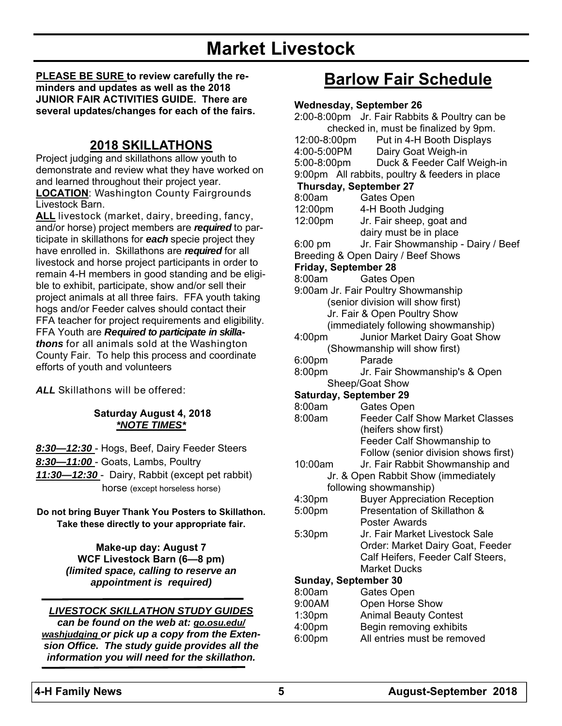## **Market Livestock**

**PLEASE BE SURE to review carefully the reminders and updates as well as the 2018 JUNIOR FAIR ACTIVITIES GUIDE. There are several updates/changes for each of the fairs.** 

### **2018 SKILLATHONS**

Project judging and skillathons allow youth to demonstrate and review what they have worked on and learned throughout their project year. **LOCATION**: Washington County Fairgrounds Livestock Barn.

**ALL** livestock (market, dairy, breeding, fancy, and/or horse) project members are *required* to participate in skillathons for *each* specie project they have enrolled in. Skillathons are *required* for all livestock and horse project participants in order to remain 4-H members in good standing and be eligible to exhibit, participate, show and/or sell their project animals at all three fairs. FFA youth taking hogs and/or Feeder calves should contact their FFA teacher for project requirements and eligibility. FFA Youth are *Required to participate in skillathons* for all animals sold at the Washington County Fair. To help this process and coordinate efforts of youth and volunteers

*ALL* Skillathons will be offered:

#### **Saturday August 4, 2018**  *\*NOTE TIMES\**

*8:30—12:30* - Hogs, Beef, Dairy Feeder Steers *8:30—11:00* - Goats, Lambs, Poultry *11:30—12:30* - Dairy, Rabbit (except pet rabbit) horse (except horseless horse)

**Do not bring Buyer Thank You Posters to Skillathon. Take these directly to your appropriate fair.** 

> **Make-up day: August 7 WCF Livestock Barn (6—8 pm)**  *(limited space, calling to reserve an appointment is required)*

#### *LIVESTOCK SKILLATHON STUDY GUIDES*

*can be found on the web at: go.osu.edu/ washjudging or pick up a copy from the Extension Office. The study guide provides all the information you will need for the skillathon.* 

## **Barlow Fair Schedule**

#### **Wednesday, September 26**

|                               | ancoaay, ocpicnioci zo,<br>2:00-8:00pm Jr. Fair Rabbits & Poultry can be |
|-------------------------------|--------------------------------------------------------------------------|
|                               | checked in, must be finalized by 9pm.                                    |
|                               | Put in 4-H Booth Displays                                                |
| 12:00-8:00pm                  |                                                                          |
| 4:00-5:00PM                   | Dairy Goat Weigh-in                                                      |
|                               | 5:00-8:00pm Duck & Feeder Calf Weigh-in                                  |
|                               | 9:00pm All rabbits, poultry & feeders in place                           |
| <b>Thursday, September 27</b> |                                                                          |
| 8:00am                        | Gates Open                                                               |
| 12:00pm                       | 4-H Booth Judging                                                        |
| 12:00pm                       | Jr. Fair sheep, goat and                                                 |
|                               | dairy must be in place                                                   |
| $6:00 \text{ pm}$             | Jr. Fair Showmanship - Dairy / Beef                                      |
|                               | Breeding & Open Dairy / Beef Shows                                       |
| <b>Friday, September 28</b>   |                                                                          |
| 8:00am                        | Gates Open                                                               |
|                               | 9:00am Jr. Fair Poultry Showmanship                                      |
|                               | (senior division will show first)                                        |
|                               | Jr. Fair & Open Poultry Show                                             |
|                               | (immediately following showmanship)                                      |
| 4:00pm                        | Junior Market Dairy Goat Show                                            |
|                               | (Showmanship will show first)                                            |
|                               |                                                                          |
| 6:00 <sub>pm</sub>            | Parade                                                                   |
| 8:00pm                        | Jr. Fair Showmanship's & Open                                            |
|                               | Sheep/Goat Show                                                          |
| <b>Saturday, September 29</b> |                                                                          |
| 8:00am                        | Gates Open                                                               |
| 8:00am                        | <b>Feeder Calf Show Market Classes</b>                                   |
|                               | (heifers show first)                                                     |
|                               | Feeder Calf Showmanship to                                               |
|                               | Follow (senior division shows first)                                     |
| 10:00am                       | Jr. Fair Rabbit Showmanship and                                          |
|                               | Jr. & Open Rabbit Show (immediately                                      |
|                               | following showmanship)                                                   |
| 4:30pm                        | <b>Buyer Appreciation Reception</b>                                      |
| 5:00pm                        | Presentation of Skillathon &                                             |
|                               | Poster Awards                                                            |
| 5:30pm                        | Jr. Fair Market Livestock Sale                                           |
|                               | Order: Market Dairy Goat, Feeder                                         |
|                               | Calf Heifers, Feeder Calf Steers,                                        |
|                               | <b>Market Ducks</b>                                                      |
|                               |                                                                          |
| <b>Sunday, September 30</b>   |                                                                          |
| 8:00am                        | Gates Open                                                               |
| 9:00AM                        | Open Horse Show                                                          |
| 1:30 <sub>pm</sub>            | <b>Animal Beauty Contest</b>                                             |
| 4:00 <sub>pm</sub>            | Begin removing exhibits                                                  |
| 6:00pm                        | All entries must be removed                                              |
|                               |                                                                          |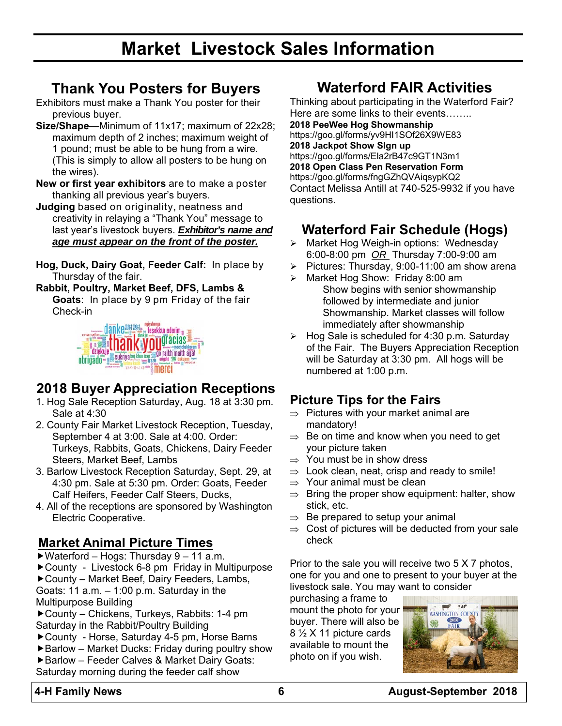## **Market Livestock Sales Information**

### **Thank You Posters for Buyers**

- Exhibitors must make a Thank You poster for their previous buyer.
- **Size/Shape**—Minimum of 11x17; maximum of 22x28; maximum depth of 2 inches; maximum weight of 1 pound; must be able to be hung from a wire. (This is simply to allow all posters to be hung on the wires).
- **New or first year exhibitors** are to make a poster thanking all previous year's buyers.
- **Judging** based on originality, neatness and creativity in relaying a "Thank You" message to last year's livestock buyers. *Exhibitor's name and age must appear on the front of the poster.*
- **Hog, Duck, Dairy Goat, Feeder Calf:** In place by Thursday of the fair.
- **Rabbit, Poultry, Market Beef, DFS, Lambs & Goats**: In place by 9 pm Friday of the fair Check-in



### **2018 Buyer Appreciation Receptions**

- 1. Hog Sale Reception Saturday, Aug. 18 at 3:30 pm. Sale at 4:30
- 2. County Fair Market Livestock Reception, Tuesday, September 4 at 3:00. Sale at 4:00. Order: Turkeys, Rabbits, Goats, Chickens, Dairy Feeder Steers, Market Beef, Lambs
- 3. Barlow Livestock Reception Saturday, Sept. 29, at 4:30 pm. Sale at 5:30 pm. Order: Goats, Feeder Calf Heifers, Feeder Calf Steers, Ducks,
- 4. All of the receptions are sponsored by Washington Electric Cooperative.

### **Market Animal Picture Times**

- ▶ Waterford Hogs: Thursday 9 11 a.m.
- ▶ County Livestock 6-8 pm Friday in Multipurpose
- ▶ County Market Beef, Dairy Feeders, Lambs, Goats: 11 a.m. – 1:00 p.m. Saturday in the

Multipurpose Building

- ▶ County Chickens, Turkeys, Rabbits: 1-4 pm Saturday in the Rabbit/Poultry Building
- ▶ County Horse, Saturday 4-5 pm, Horse Barns
- $\blacktriangleright$  Barlow Market Ducks: Friday during poultry show Barlow – Feeder Calves & Market Dairy Goats:
- Saturday morning during the feeder calf show

## **Waterford FAIR Activities**

Thinking about participating in the Waterford Fair? Here are some links to their events……..

**2018 PeeWee Hog Showmanship**  https://goo.gl/forms/yv9HI1SOf26X9WE83 **2018 Jackpot Show SIgn up** 

https://goo.gl/forms/Ela2rB47c9GT1N3m1 **2018 Open Class Pen Reservation Form**  https://goo.gl/forms/fngGZhQVAiqsypKQ2 Contact Melissa Antill at 740-525-9932 if you have questions.

### **Waterford Fair Schedule (Hogs)**

- > Market Hog Weigh-in options: Wednesday 6:00-8:00 pm *OR* Thursday 7:00-9:00 am
- $\triangleright$  Pictures: Thursday, 9:00-11:00 am show arena
- > Market Hog Show: Friday 8:00 am Show begins with senior showmanship
	- followed by intermediate and junior Showmanship. Market classes will follow immediately after showmanship
- $\triangleright$  Hog Sale is scheduled for 4:30 p.m. Saturday of the Fair. The Buyers Appreciation Reception will be Saturday at 3:30 pm. All hogs will be numbered at 1:00 p.m.

### **Picture Tips for the Fairs**

- $\Rightarrow$  Pictures with your market animal are mandatory!
- $\Rightarrow$  Be on time and know when you need to get your picture taken
- $\Rightarrow$  You must be in show dress
- $\Rightarrow$  Look clean, neat, crisp and ready to smile!
- $\Rightarrow$  Your animal must be clean
- $\Rightarrow$  Bring the proper show equipment: halter, show stick, etc.
- $\Rightarrow$  Be prepared to setup your animal
- $\Rightarrow$  Cost of pictures will be deducted from your sale check

Prior to the sale you will receive two 5 X 7 photos, one for you and one to present to your buyer at the livestock sale. You may want to consider

purchasing a frame to mount the photo for your buyer. There will also be 8 ½ X 11 picture cards available to mount the photo on if you wish.

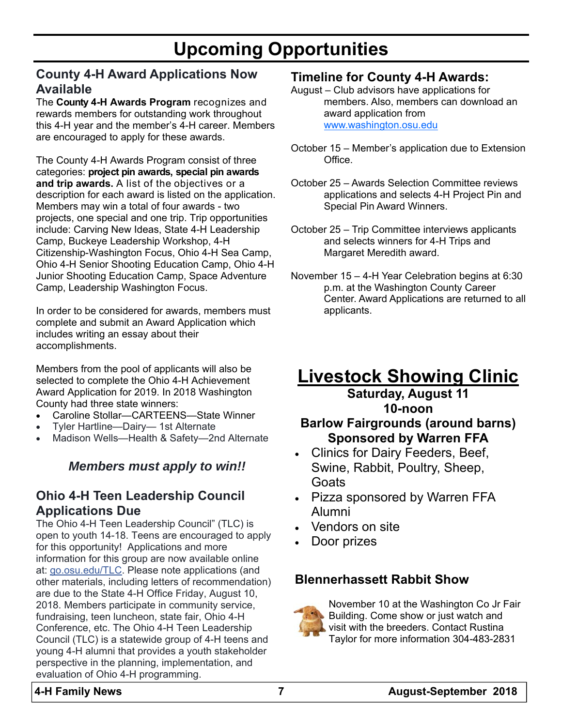## **Upcoming Opportunities**

### **County 4-H Award Applications Now Available**

The **County 4-H Awards Program** recognizes and rewards members for outstanding work throughout this 4-H year and the member's 4-H career. Members are encouraged to apply for these awards.

The County 4-H Awards Program consist of three categories: **project pin awards, special pin awards and trip awards.** A list of the objectives or a description for each award is listed on the application. Members may win a total of four awards - two projects, one special and one trip. Trip opportunities include: Carving New Ideas, State 4-H Leadership Camp, Buckeye Leadership Workshop, 4-H Citizenship-Washington Focus, Ohio 4-H Sea Camp, Ohio 4-H Senior Shooting Education Camp, Ohio 4-H Junior Shooting Education Camp, Space Adventure Camp, Leadership Washington Focus.

In order to be considered for awards, members must complete and submit an Award Application which includes writing an essay about their accomplishments.

Members from the pool of applicants will also be selected to complete the Ohio 4-H Achievement Award Application for 2019. In 2018 Washington County had three state winners:

- Caroline Stollar—CARTEENS—State Winner
- Tyler Hartline—Dairy— 1st Alternate
- Madison Wells—Health & Safety—2nd Alternate

#### *Members must apply to win!!*

### **Ohio 4-H Teen Leadership Council Applications Due**

The Ohio 4-H Teen Leadership Council" (TLC) is open to youth 14-18. Teens are encouraged to apply for this opportunity! Applications and more information for this group are now available online at: go.osu.edu/TLC. Please note applications (and other materials, including letters of recommendation) are due to the State 4-H Office Friday, August 10, 2018. Members participate in community service, fundraising, teen luncheon, state fair, Ohio 4-H Conference, etc. The Ohio 4-H Teen Leadership Council (TLC) is a statewide group of 4-H teens and young 4-H alumni that provides a youth stakeholder perspective in the planning, implementation, and evaluation of Ohio 4-H programming.

#### **Timeline for County 4-H Awards:**

August – Club advisors have applications for members. Also, members can download an award application from www.washington.osu.edu

- October 15 Member's application due to Extension Office.
- October 25 Awards Selection Committee reviews applications and selects 4-H Project Pin and Special Pin Award Winners.
- October 25 Trip Committee interviews applicants and selects winners for 4-H Trips and Margaret Meredith award.
- November 15 4-H Year Celebration begins at 6:30 p.m. at the Washington County Career Center. Award Applications are returned to all applicants.

# **Livestock Showing Clinic**

### **Saturday, August 11 10-noon Barlow Fairgrounds (around barns) Sponsored by Warren FFA**

- Clinics for Dairy Feeders, Beef, Swine, Rabbit, Poultry, Sheep, Goats
- Pizza sponsored by Warren FFA Alumni
- Vendors on site
- Door prizes

### **Blennerhassett Rabbit Show**



November 10 at the Washington Co Jr Fair Building. Come show or just watch and visit with the breeders. Contact Rustina Taylor for more information 304-483-2831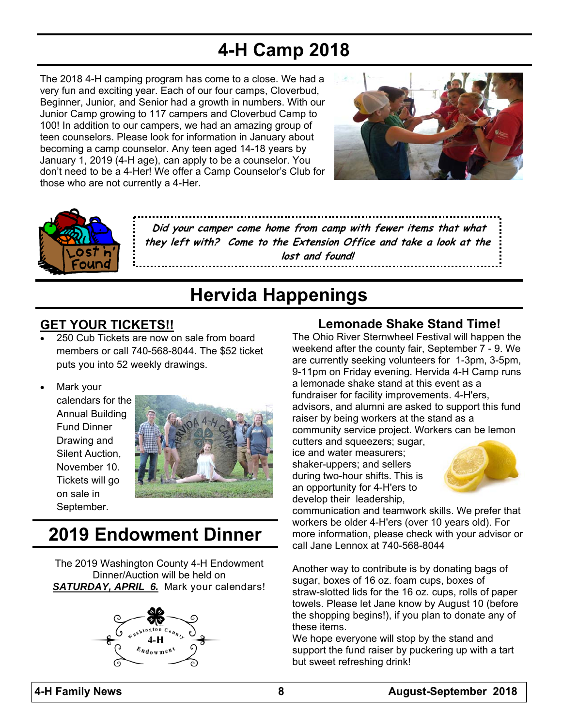## **4-H Camp 2018**

The 2018 4-H camping program has come to a close. We had a very fun and exciting year. Each of our four camps, Cloverbud, Beginner, Junior, and Senior had a growth in numbers. With our Junior Camp growing to 117 campers and Cloverbud Camp to 100! In addition to our campers, we had an amazing group of teen counselors. Please look for information in January about becoming a camp counselor. Any teen aged 14-18 years by January 1, 2019 (4-H age), can apply to be a counselor. You don't need to be a 4-Her! We offer a Camp Counselor's Club for those who are not currently a 4-Her.





**Did your camper come home from camp with fewer items that what they left with? Come to the Extension Office and take a look at the lost and found!**

## **Hervida Happenings**

### **GET YOUR TICKETS!!**

- 250 Cub Tickets are now on sale from board members or call 740-568-8044. The \$52 ticket puts you into 52 weekly drawings.
- Mark your

calendars for the Annual Building Fund Dinner Drawing and Silent Auction, November 10. Tickets will go on sale in September.



## **2019 Endowment Dinner**

The 2019 Washington County 4-H Endowment Dinner/Auction will be held on *SATURDAY, APRIL 6.* Mark your calendars!



### **Lemonade Shake Stand Time!**

The Ohio River Sternwheel Festival will happen the weekend after the county fair, September 7 - 9. We are currently seeking volunteers for 1-3pm, 3-5pm, 9-11pm on Friday evening. Hervida 4-H Camp runs a lemonade shake stand at this event as a fundraiser for facility improvements. 4-H'ers, advisors, and alumni are asked to support this fund raiser by being workers at the stand as a community service project. Workers can be lemon

cutters and squeezers; sugar, ice and water measurers; shaker-uppers; and sellers during two-hour shifts. This is an opportunity for 4-H'ers to develop their leadership,



communication and teamwork skills. We prefer that workers be older 4-H'ers (over 10 years old). For more information, please check with your advisor or call Jane Lennox at 740-568-8044

Another way to contribute is by donating bags of sugar, boxes of 16 oz. foam cups, boxes of straw-slotted lids for the 16 oz. cups, rolls of paper towels. Please let Jane know by August 10 (before the shopping begins!), if you plan to donate any of these items.

We hope everyone will stop by the stand and support the fund raiser by puckering up with a tart but sweet refreshing drink!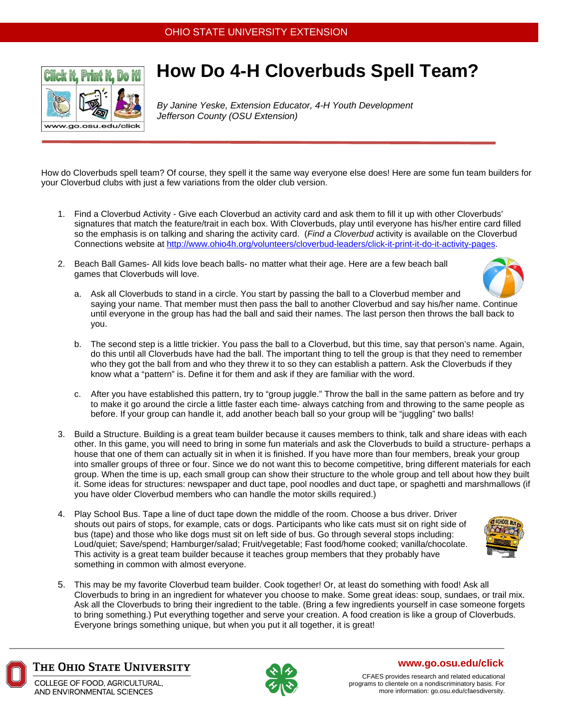

## **How Do 4-H Cloverbuds Spell Team?**

*By Janine Yeske, Extension Educator, 4-H Youth Development Jefferson County (OSU Extension)* 

How do Cloverbuds spell team? Of course, they spell it the same way everyone else does! Here are some fun team builders for your Cloverbud clubs with just a few variations from the older club version.

- 1. Find a Cloverbud Activity Give each Cloverbud an activity card and ask them to fill it up with other Cloverbuds' signatures that match the feature/trait in each box. With Cloverbuds, play until everyone has his/her entire card filled so the emphasis is on talking and sharing the activity card. (*Find a Cloverbud* activity is available on the Cloverbud Connections website at http://www.ohio4h.org/volunteers/cloverbud-leaders/click-it-print-it-do-it-activity-pages.
- 2. Beach Ball Games- All kids love beach balls- no matter what their age. Here are a few beach ball games that Cloverbuds will love.



- a. Ask all Cloverbuds to stand in a circle. You start by passing the ball to a Cloverbud member and saying your name. That member must then pass the ball to another Cloverbud and say his/her name. Continue until everyone in the group has had the ball and said their names. The last person then throws the ball back to you.
- b. The second step is a little trickier. You pass the ball to a Cloverbud, but this time, say that person's name. Again, do this until all Cloverbuds have had the ball. The important thing to tell the group is that they need to remember who they got the ball from and who they threw it to so they can establish a pattern. Ask the Cloverbuds if they know what a "pattern" is. Define it for them and ask if they are familiar with the word.
- c. After you have established this pattern, try to "group juggle." Throw the ball in the same pattern as before and try to make it go around the circle a little faster each time- always catching from and throwing to the same people as before. If your group can handle it, add another beach ball so your group will be "juggling" two balls!
- 3. Build a Structure. Building is a great team builder because it causes members to think, talk and share ideas with each other. In this game, you will need to bring in some fun materials and ask the Cloverbuds to build a structure- perhaps a house that one of them can actually sit in when it is finished. If you have more than four members, break your group into smaller groups of three or four. Since we do not want this to become competitive, bring different materials for each group. When the time is up, each small group can show their structure to the whole group and tell about how they built it. Some ideas for structures: newspaper and duct tape, pool noodles and duct tape, or spaghetti and marshmallows (if you have older Cloverbud members who can handle the motor skills required.)
- 4. Play School Bus. Tape a line of duct tape down the middle of the room. Choose a bus driver. Driver shouts out pairs of stops, for example, cats or dogs. Participants who like cats must sit on right side of bus (tape) and those who like dogs must sit on left side of bus. Go through several stops including: Loud/quiet; Save/spend; Hamburger/salad; Fruit/vegetable; Fast food/home cooked; vanilla/chocolate. This activity is a great team builder because it teaches group members that they probably have something in common with almost everyone.
- 5. This may be my favorite Cloverbud team builder. Cook together! Or, at least do something with food! Ask all Cloverbuds to bring in an ingredient for whatever you choose to make. Some great ideas: soup, sundaes, or trail mix. Ask all the Cloverbuds to bring their ingredient to the table. (Bring a few ingredients yourself in case someone forgets to bring something.) Put everything together and serve your creation. A food creation is like a group of Cloverbuds. Everyone brings something unique, but when you put it all together, it is great!

THE OHIO STATE UNIVERSITY

COLLEGE OF FOOD, AGRICULTURAL. AND ENVIRONMENTAL SCIENCES



#### **www.go.osu.edu/click**

CFAES provides research and related educational programs to clientele on a nondiscriminatory basis. For more information: go.osu.edu/cfaesdiversity.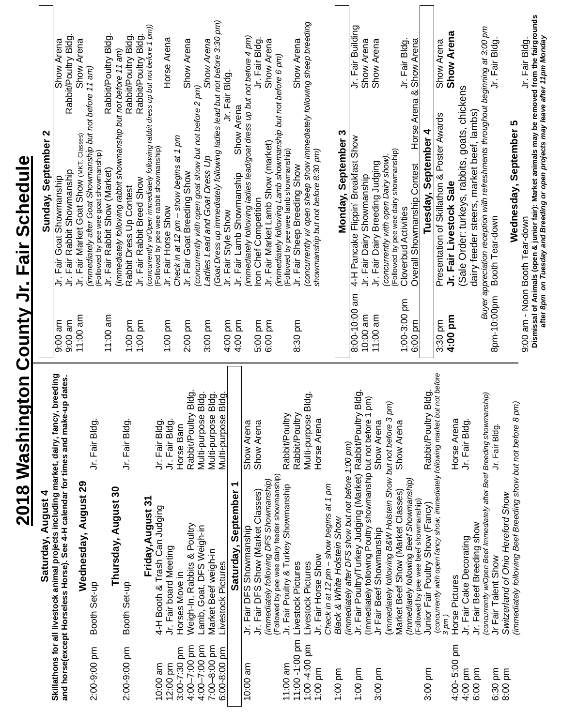| J                                               | .<br>.<br>.                                                                                                                                                                                                                   |
|-------------------------------------------------|-------------------------------------------------------------------------------------------------------------------------------------------------------------------------------------------------------------------------------|
| j<br>J<br>$\overline{a}$<br>י<br>ה<br>ב         |                                                                                                                                                                                                                               |
| <b>EXAMPLE</b>                                  |                                                                                                                                                                                                                               |
| :<br>l<br>$\frac{1}{7}$<br>j                    |                                                                                                                                                                                                                               |
| $\ddot{\phantom{0}}$<br>$\overline{\mathbf{S}}$ |                                                                                                                                                                                                                               |
| <b>N 810.</b>                                   | is a contract of the contract of the contract of the contract of the contract of the contract of the contract of the contract of the contract of the contract of the contract of the contract of the contract of the contract |

| Saturday, August 4                                                                     |           | Sunday, September 2                                       |                     |
|----------------------------------------------------------------------------------------|-----------|-----------------------------------------------------------|---------------------|
| Skillathons for all livestock animal projects including market, dairy, fancy, breeding | $9:00$ am | Jr. Fair Goat Showmanship                                 | Show Arena          |
| and horse(except Horseless Horse). See 4-H calendar for times and make-up dates.       | $9:00$ am | Jr. Fair Rabbit Showmanship                               | Rabbit/Poultry Bldg |
| Wednesday, August 29                                                                   | 11:00 am  | Jr. Fair Market Goat Show (MKT. Classes)                  | Show Arena          |
| $\begin{array}{c}\n1 \\ 1\n\end{array}$<br>ı                                           |           | (immediately after Goat Showmanship but not before 11 am) |                     |

|                    | Skullathons for all livestock animal projects including market, dairy, fancy, breeding<br>and horse(except Horseless Horse). See 4-H calendar for times and make-up dates. |                          | 9:00 am                 | Jr. Fair Goat Showmanship                                                                                                                                                               | Show Arena                                 |
|--------------------|----------------------------------------------------------------------------------------------------------------------------------------------------------------------------|--------------------------|-------------------------|-----------------------------------------------------------------------------------------------------------------------------------------------------------------------------------------|--------------------------------------------|
|                    |                                                                                                                                                                            |                          | 9:00 am                 | Jr. Fair Rabbit Showmanship                                                                                                                                                             | Rabbit/Poultry Bldg.                       |
|                    | Wednesday, August 29                                                                                                                                                       |                          | 11:00 am                | Jr. Fair Market Goat Show (MKT. Classes)                                                                                                                                                | Show Arena                                 |
| 2:00-9:00 pm       | Booth Set-up                                                                                                                                                               | Jr. Fair Bldg.           |                         | (immediately after Goat Showmanship but not before 11 am)<br>(Followed by pee wee goat showmanship)                                                                                     |                                            |
|                    |                                                                                                                                                                            |                          | 11:00 am                | Jr. Fair Rabbit Show (Market)                                                                                                                                                           | Rabbit/Poultry Bldg.                       |
|                    | Thursday, August 30                                                                                                                                                        |                          |                         | (Immediately following rabbit showmanship but not before 11 am)                                                                                                                         |                                            |
| 2:00-9:00 pm       | Booth Set-up                                                                                                                                                               | Jr. Fair Bldg.           | 1:00 pm                 | Rabbit Dress Up Contest                                                                                                                                                                 | Rabbit/Poultry Bldg.                       |
|                    | Friday, August 31                                                                                                                                                          |                          | 1:00 pm                 | (concurrently w/Open immediately following rabbit dress up but not before 1 pm))<br>Jr. Fair Rabbit Breed Show                                                                          | Rabbit/Poultry Bldg.                       |
| 10:00 am           | 4-H Booth & Trash Can Judging                                                                                                                                              | Jr. Fair Bldg.           |                         | (Followed by pee wee rabbit showmanship)                                                                                                                                                |                                            |
| 12:00 pm           | Jr. Fair board Meeting                                                                                                                                                     | Jr. Fair Bldg.           | $1:00$ pm               | Jr. Fair Horse Show                                                                                                                                                                     | Horse Arena                                |
| 3:00-7:30 pm       | Horses Move in                                                                                                                                                             | Horse Barn               |                         | Check in at 12 pm - show begins at 1 pm                                                                                                                                                 |                                            |
| 4:00-7:00 pm       | Weigh-In, Rabbits & Poultry                                                                                                                                                | Rabbit/Poultry Bldg.     | 2:00 pm                 | Jr. Fair Goat Breeding Show                                                                                                                                                             | Show Arena                                 |
| 4:00-7:00 pm       | Lamb, Goat, DFS Weigh-in                                                                                                                                                   | Multi-purpose Bldg.      |                         | (concurrently with open goat show but not before 2 pm)                                                                                                                                  |                                            |
| 7:00-8:00 pm       | Market Beef weigh-in                                                                                                                                                       | Multi-purpose Bldg.      | 3:00 pm                 | Ladies Lead and Goat Dress Up                                                                                                                                                           | Show Arena                                 |
| 6:00-8:00 pm       | Livestock Pictures                                                                                                                                                         | Multi-purpose Bldg       | 4:00 pm                 | (Goat Dress up immediately following ladies lead but not before 3:30 pm)<br>Jr. Fair Style Show                                                                                         | Jr. Fair Bldg.                             |
|                    | ᅮ<br>Saturday, September                                                                                                                                                   |                          | 4:00 pm                 | Show Arena<br>Jr. Fair Lamb Showmanship                                                                                                                                                 |                                            |
| 10:00 am           | Jr. Fair DFS Showmanship                                                                                                                                                   |                          |                         | (immediately following ladies lead/goat dress up but not before 4 pm)                                                                                                                   |                                            |
|                    | Jr. Fair DFS Show (Market Classes)                                                                                                                                         | Show Arena<br>Show Arena |                         | Iron Chef Competition                                                                                                                                                                   | Jr. Fair Bldg.                             |
|                    | (immediately following DFS Showmanship)                                                                                                                                    |                          | 5:00 pm                 | Jr. Fair Market Lamb Show (market)                                                                                                                                                      | Show Arena                                 |
|                    | (Followed by pee wee dairy feeder showmanship)                                                                                                                             |                          |                         | (immediately following Lamb showmanship but not before 6 pm)                                                                                                                            |                                            |
| 11:00 am           | Jr. Fair Poultry & Turkey Showmanship                                                                                                                                      | Rabbit/Poultry           |                         | (Followed by pee wee lamb showmanship)                                                                                                                                                  |                                            |
| 11:00 -1:00 pm     | Livestock Pictures                                                                                                                                                         | Rabbit/Poultry           | 8:30 pm                 | Jr. Fair Sheep Breeding Show                                                                                                                                                            | Show Arena                                 |
| 1:00 -4:00 pm      | Livestock Pictures                                                                                                                                                         | Multi-purpose Bldg.      |                         | (concurrently w/ open sheep show immediately following sheep breeding                                                                                                                   |                                            |
| $1:00$ pm          | Jr. Fair Horse Show                                                                                                                                                        | Horse Arena              |                         | showmanship but not before 8:30 pm)                                                                                                                                                     |                                            |
|                    | Check in at 12 pm - show begins at 1 pm                                                                                                                                    |                          |                         |                                                                                                                                                                                         |                                            |
| $1:00$ pm          | Black & White Holstein Show                                                                                                                                                |                          |                         | ω<br>Monday, September                                                                                                                                                                  |                                            |
|                    | (immediately after DFS show but not before 1:00 pm)                                                                                                                        |                          | 8:00-10:00 am           | 4-H Pancake Flippin' Breakfast Show                                                                                                                                                     | Jr. Fair Building                          |
| $1:00$ pm          | Jr. Fair Poultry/Turkey Judging (Market) Rabbit/Poultry Bldg.<br>(Immediately following Poultry showmanship but not before 1 pm)                                           |                          | 10:00 am                |                                                                                                                                                                                         | Show Arena                                 |
| 3:00 pm            | Jr Fair Beef Showmanship                                                                                                                                                   | Show Arena               | 11:00 am                | Jr. Fair Dairy Showmanship<br>Jr. Fair Dairy Breeding Judging                                                                                                                           | Show Arena                                 |
|                    | (immediately following B&W Holstein Show but not before 3 pm)                                                                                                              |                          |                         | (concurrently with open Dairy show).                                                                                                                                                    |                                            |
|                    | Market Beef Show (Market Classes)                                                                                                                                          | Show Arena               |                         | (Followed by pee wee dairy showmanship)                                                                                                                                                 |                                            |
|                    | (Immediately following Beef Showmanship)                                                                                                                                   |                          | 1:00-3:00 pm<br>6:00 pm | Overall Showmanship Contest<br><b>Cloverbud Activities</b>                                                                                                                              | Horse Arena & Show Arena<br>Jr. Fair Bldg. |
| 3:00 pm            | (Followed by pee wee beef showmanship)<br>Junior Fair Poultry Show (Fancy)                                                                                                 | Rabbit/Poultry Bldg.     |                         | Tuesday, September 4                                                                                                                                                                    |                                            |
|                    | (concurrently with open fancy show, immediately following market but not before                                                                                            |                          | 3:30 pm                 | Presentation of Skillathon & Poster Awards                                                                                                                                              | Show Arena                                 |
|                    | 3pm)                                                                                                                                                                       |                          | 4:00 pm                 | Jr. Fair Livestock Sale                                                                                                                                                                 | Show Arena                                 |
| 4:00-5:00 pm       | Horse Pictures                                                                                                                                                             | Horse Arena              |                         | (Sale Order: turkeys, rabbits, goats, chickens                                                                                                                                          |                                            |
| 4:00 pm<br>6:00 pm | Jr. Fair Beef Breeding show<br>Jr. Fair Cake Decorating                                                                                                                    | Jr. Fair Bldg.           |                         | dairy feeder steers, market beef, lambs)                                                                                                                                                |                                            |
|                    | (concurrently w/Open Beef Immediately after Beef Breeding showmanship)                                                                                                     |                          |                         | Buyer appreciation reception with refreshments throughout beginning at 3:00 pm                                                                                                          |                                            |
| 6:30 pm            | Jr Fair Talent Show                                                                                                                                                        | Jr. Fair Bldg.           | 8pm-10:00pm             | Booth Tear-down                                                                                                                                                                         | Jr. Fair Bldg.                             |
| 8:00 pm            | Switzerland of Ohio Hereford Show                                                                                                                                          |                          |                         |                                                                                                                                                                                         |                                            |
|                    | (immediately following Beef Breeding show but not before                                                                                                                   | $8 \rho m$               |                         | Wednesday, September 5                                                                                                                                                                  |                                            |
|                    |                                                                                                                                                                            |                          |                         | 9:00 am - Noon Booth Tear-down                                                                                                                                                          | Jr. Fair Bldg.                             |
|                    |                                                                                                                                                                            |                          |                         | Dismissal of Animals (open & junior fair): Market animals may be removed from the fairgrounds<br>after <i>8pm  on Tuesday and Breeding or open projects may leave after 11pm Monday</i> |                                            |
|                    |                                                                                                                                                                            |                          |                         |                                                                                                                                                                                         |                                            |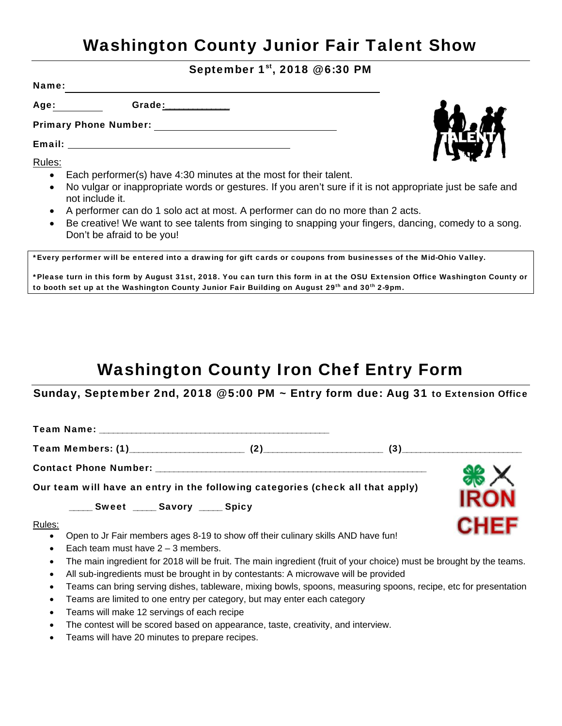## Washington County Junior Fair Talent Show

September 1st, 2018 @ 6:30 PM

Name:

Age: **Grade:** \_\_\_\_\_\_\_\_\_\_\_\_

Primary Phone Number:

Email:

Rules:

- Each performer(s) have 4:30 minutes at the most for their talent.
- No vulgar or inappropriate words or gestures. If you aren't sure if it is not appropriate just be safe and not include it.
- A performer can do 1 solo act at most. A performer can do no more than 2 acts.
- Be creative! We want to see talents from singing to snapping your fingers, dancing, comedy to a song. Don't be afraid to be you!

\*Every performer will be entered into a drawing for gift cards or coupons from businesses of the Mid-Ohio Valley.

\*Please turn in this form by August 31st, 2018. You can turn this form in at the OSU Extension Office Washington County or to booth set up at the Washington County Junior Fair Building on August 29<sup>th</sup> and 30<sup>th</sup> 2-9pm.

## Washington County Iron Chef Entry Form

Sunday, September 2nd, 2018 @ 5:00 PM ~ Entry form due: Aug 31 to Extension Office

Team Name: \_\_\_\_\_\_\_\_\_\_\_\_\_\_\_\_\_\_\_\_\_\_\_\_\_\_\_\_\_\_\_\_\_\_\_\_\_\_\_\_\_\_\_\_\_\_\_\_\_\_

Team Members: (1)\_\_\_\_\_\_\_\_\_\_\_\_\_\_\_\_\_\_\_\_\_\_\_\_\_ (2)\_\_\_\_\_\_\_\_\_\_\_\_\_\_\_\_\_\_\_\_\_\_\_\_\_\_ (3)\_\_\_\_\_\_\_\_\_\_\_\_\_\_\_\_\_\_\_\_\_\_\_\_\_\_

Contact Phone Number: \_\_\_\_\_\_\_\_\_\_\_\_\_\_\_\_\_\_\_\_\_\_\_\_\_\_\_\_\_\_\_\_\_\_\_\_\_\_\_\_\_\_\_\_\_\_\_\_\_\_\_\_\_\_\_\_\_\_\_

Our team will have an entry in the following categories (check all that apply)

\_\_\_\_\_ Sweet \_\_\_\_ Savory \_\_\_\_ Spicy

Rules:

- Open to Jr Fair members ages 8-19 to show off their culinary skills AND have fun!
- Each team must have  $2 3$  members.
- The main ingredient for 2018 will be fruit. The main ingredient (fruit of your choice) must be brought by the teams.
- All sub-ingredients must be brought in by contestants: A microwave will be provided
- Teams can bring serving dishes, tableware, mixing bowls, spoons, measuring spoons, recipe, etc for presentation
- Teams are limited to one entry per category, but may enter each category
- Teams will make 12 servings of each recipe
- The contest will be scored based on appearance, taste, creativity, and interview.
- Teams will have 20 minutes to prepare recipes.